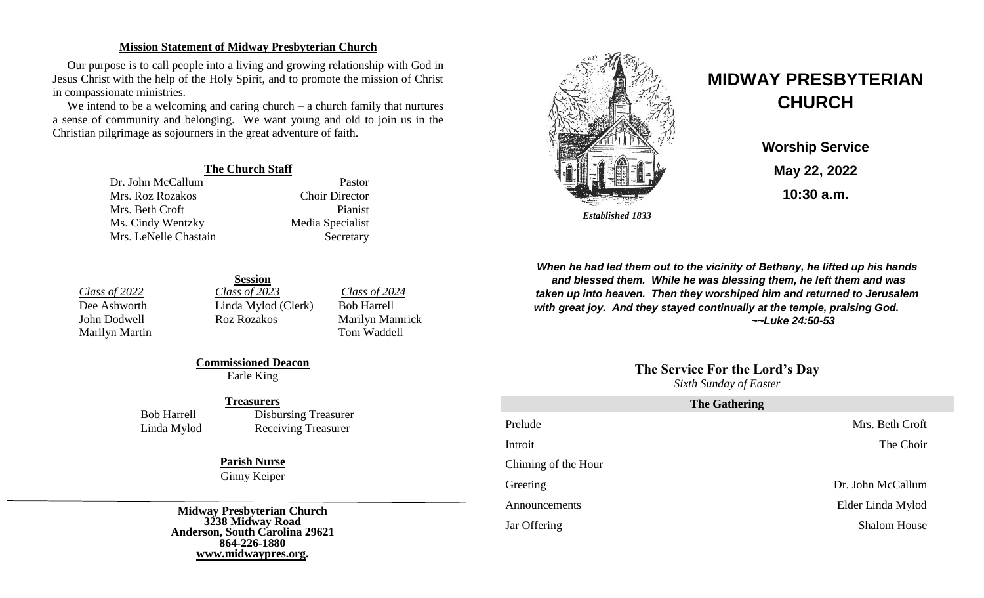#### **Mission Statement of Midway Presbyterian Church**

Our purpose is to call people into a living and growing relationship with God in Jesus Christ with the help of the Holy Spirit, and to promote the mission of Christ in compassionate ministries.

We intend to be a welcoming and caring church – a church family that nurtures a sense of community and belonging. We want young and old to join us in the Christian pilgrimage as sojourners in the great adventure of faith.

#### **The Church Staff**

Dr. John McCallum Pastor Mrs. Roz Rozakos Choir Director Mrs. Beth Croft Pianist Ms. Cindy Wentzky Media Specialist Mrs. LeNelle Chastain Secretary

*Class of 2022 Class of 2023 Class of 2024* Dee Ashworth Linda Mylod (Clerk) Bob Harrell John Dodwell Roz Rozakos Marilyn Mamrick Marilyn Martin Tom Waddell

**Session**

**Commissioned Deacon** Earle King

#### **Treasurers**

Bob Harrell Disbursing Treasurer Linda Mylod Receiving Treasurer

# **Parish Nurse**

Ginny Keiper

**Midway Presbyterian Church 3238 Midway Road Anderson, South Carolina 29621 864-226-1880 [www.midwaypres.org.](http://www.midwaypres.org/)**



# **MIDWAY PRESBYTERIAN CHURCH**

**Worship Service May 22, 2022 10:30 a.m.**

*When he had led them out to the vicinity of Bethany, he lifted up his hands and blessed them. While he was blessing them, he left them and was taken up into heaven. Then they worshiped him and returned to Jerusalem with great joy. And they stayed continually at the temple, praising God. ~~Luke 24:50-53*

# **The Service For the Lord's Day**

*Sixth Sunday of Easter* 

| <b>The Gathering</b> |                     |  |  |
|----------------------|---------------------|--|--|
| Prelude              | Mrs. Beth Croft     |  |  |
| Introit              | The Choir           |  |  |
| Chiming of the Hour  |                     |  |  |
| Greeting             | Dr. John McCallum   |  |  |
| Announcements        | Elder Linda Mylod   |  |  |
| Jar Offering         | <b>Shalom House</b> |  |  |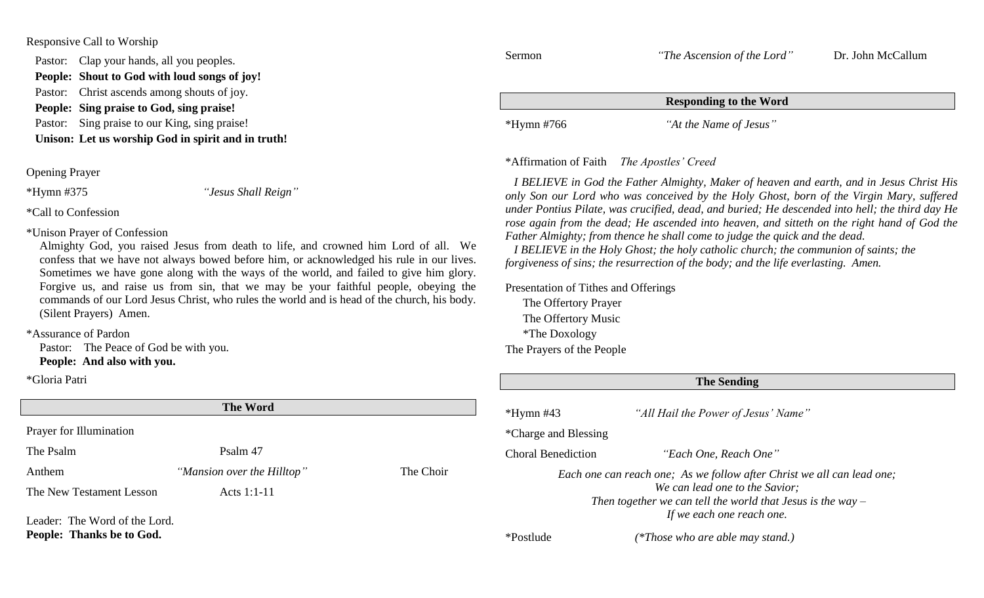#### Responsive Call to Worship

Pastor: Clap your hands, all you peoples.

**People: Shout to God with loud songs of joy!**

Pastor: Christ ascends among shouts of joy. **People: Sing praise to God, sing praise!**

Pastor: Sing praise to our King, sing praise!

**Unison: Let us worship God in spirit and in truth!**

Opening Prayer

\*Hymn #375 *"Jesus Shall Reign"*

\*Call to Confession

\*Unison Prayer of Confession

Almighty God, you raised Jesus from death to life, and crowned him Lord of all. We confess that we have not always bowed before him, or acknowledged his rule in our lives. Sometimes we have gone along with the ways of the world, and failed to give him glory. Forgive us, and raise us from sin, that we may be your faithful people, obeying the commands of our Lord Jesus Christ, who rules the world and is head of the church, his body. (Silent Prayers) Amen.

\*Assurance of Pardon

Pastor: The Peace of God be with you. **People: And also with you.**

\*Gloria Patri

| <b>The Word</b>          |                            |           |  |
|--------------------------|----------------------------|-----------|--|
| Prayer for Illumination  |                            |           |  |
| The Psalm                | Psalm 47                   |           |  |
| Anthem                   | "Mansion over the Hilltop" | The Choir |  |
| The New Testament Lesson | Acts $1:1-11$              |           |  |
|                          |                            |           |  |

Leader: The Word of the Lord. **People: Thanks be to God.**

Sermon *"The Ascension of the Lord"* Dr. John McCallum **Responding to the Word** \*Hymn #766 *"At the Name of Jesus"*

## \*Affirmation of Faith *The Apostles' Creed*

 *I BELIEVE in God the Father Almighty, Maker of heaven and earth, and in Jesus Christ His only Son our Lord who was conceived by the Holy Ghost, born of the Virgin Mary, suffered under Pontius Pilate, was crucified, dead, and buried; He descended into hell; the third day He rose again from the dead; He ascended into heaven, and sitteth on the right hand of God the Father Almighty; from thence he shall come to judge the quick and the dead.*

 *I BELIEVE in the Holy Ghost; the holy catholic church; the communion of saints; the forgiveness of sins; the resurrection of the body; and the life everlasting. Amen.*

Presentation of Tithes and Offerings

The Offertory Prayer The Offertory Music \*The Doxology The Prayers of the People

| <b>The Sending</b>   |                                                                                                                                                                                                        |  |
|----------------------|--------------------------------------------------------------------------------------------------------------------------------------------------------------------------------------------------------|--|
| $*Hymn$ #43          | "All Hail the Power of Jesus' Name"                                                                                                                                                                    |  |
| *Charge and Blessing |                                                                                                                                                                                                        |  |
| Choral Benediction   | "Each One, Reach One"                                                                                                                                                                                  |  |
|                      | Each one can reach one; As we follow after Christ we all can lead one;<br>We can lead one to the Savior;<br>Then together we can tell the world that Jesus is the way $-$<br>If we each one reach one. |  |
| *Postlude            | (*Those who are able may stand.)                                                                                                                                                                       |  |